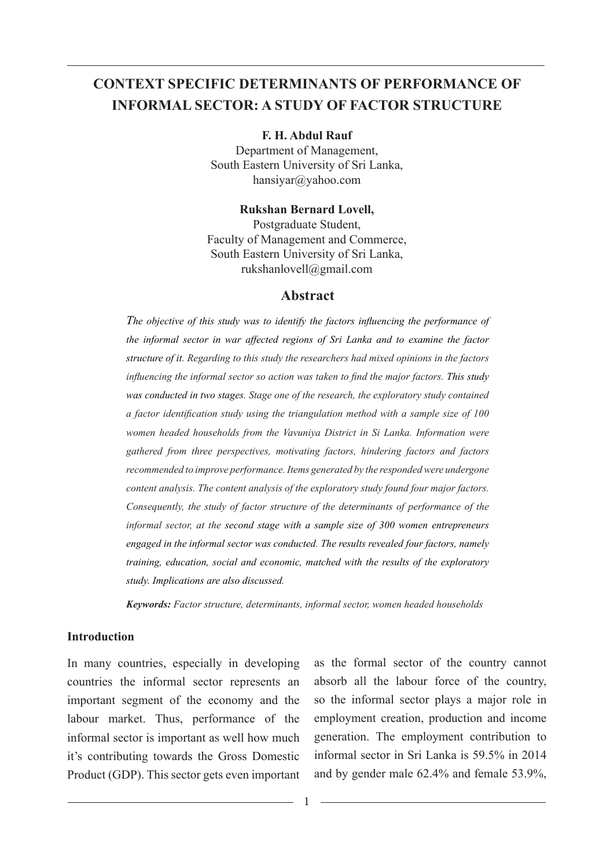# **CONTEXT SPECIFIC DETERMINANTS OF PERFORMANCE OF INFORMAL SECTOR: A STUDY OF FACTOR STRUCTURE**

**F. H. Abdul Rauf**  Department of Management,

South Eastern University of Sri Lanka, hansiyar@yahoo.com

**Rukshan Bernard Lovell,** Postgraduate Student, Faculty of Management and Commerce, South Eastern University of Sri Lanka, rukshanlovell@gmail.com

#### **Abstract**

*The objective of this study was to identify the factors influencing the performance of the informal sector in war affected regions of Sri Lanka and to examine the factor structure of it. Regarding to this study the researchers had mixed opinions in the factors influencing the informal sector so action was taken to find the major factors. This study was conducted in two stages. Stage one of the research, the exploratory study contained a factor identification study using the triangulation method with a sample size of 100 women headed households from the Vavuniya District in Si Lanka. Information were gathered from three perspectives, motivating factors, hindering factors and factors recommended to improve performance. Items generated by the responded were undergone content analysis. The content analysis of the exploratory study found four major factors. Consequently, the study of factor structure of the determinants of performance of the informal sector, at the second stage with a sample size of 300 women entrepreneurs engaged in the informal sector was conducted. The results revealed four factors, namely training, education, social and economic, matched with the results of the exploratory study. Implications are also discussed.*

*Keywords: Factor structure, determinants, informal sector, women headed households*

#### **Introduction**

In many countries, especially in developing countries the informal sector represents an important segment of the economy and the labour market. Thus, performance of the informal sector is important as well how much it's contributing towards the Gross Domestic Product (GDP). This sector gets even important

as the formal sector of the country cannot absorb all the labour force of the country, so the informal sector plays a major role in employment creation, production and income generation. The employment contribution to informal sector in Sri Lanka is 59.5% in 2014 and by gender male 62.4% and female 53.9%,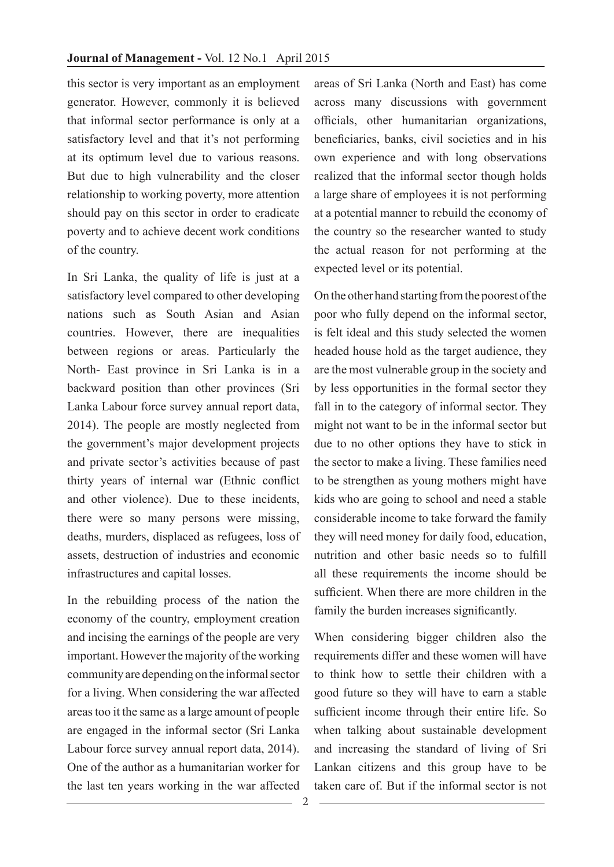this sector is very important as an employment generator. However, commonly it is believed that informal sector performance is only at a satisfactory level and that it's not performing at its optimum level due to various reasons. But due to high vulnerability and the closer relationship to working poverty, more attention should pay on this sector in order to eradicate poverty and to achieve decent work conditions of the country.

In Sri Lanka, the quality of life is just at a satisfactory level compared to other developing nations such as South Asian and Asian countries. However, there are inequalities between regions or areas. Particularly the North- East province in Sri Lanka is in a backward position than other provinces (Sri Lanka Labour force survey annual report data, 2014). The people are mostly neglected from the government's major development projects and private sector's activities because of past thirty years of internal war (Ethnic conflict and other violence). Due to these incidents, there were so many persons were missing, deaths, murders, displaced as refugees, loss of assets, destruction of industries and economic infrastructures and capital losses.

In the rebuilding process of the nation the economy of the country, employment creation and incising the earnings of the people are very important. However the majority of the working community are depending on the informal sector for a living. When considering the war affected areas too it the same as a large amount of people are engaged in the informal sector (Sri Lanka Labour force survey annual report data, 2014). One of the author as a humanitarian worker for the last ten years working in the war affected

areas of Sri Lanka (North and East) has come across many discussions with government officials, other humanitarian organizations, beneficiaries, banks, civil societies and in his own experience and with long observations realized that the informal sector though holds a large share of employees it is not performing at a potential manner to rebuild the economy of the country so the researcher wanted to study the actual reason for not performing at the expected level or its potential.

On the other hand starting from the poorest of the poor who fully depend on the informal sector, is felt ideal and this study selected the women headed house hold as the target audience, they are the most vulnerable group in the society and by less opportunities in the formal sector they fall in to the category of informal sector. They might not want to be in the informal sector but due to no other options they have to stick in the sector to make a living. These families need to be strengthen as young mothers might have kids who are going to school and need a stable considerable income to take forward the family they will need money for daily food, education, nutrition and other basic needs so to fulfill all these requirements the income should be sufficient. When there are more children in the family the burden increases significantly.

When considering bigger children also the requirements differ and these women will have to think how to settle their children with a good future so they will have to earn a stable sufficient income through their entire life. So when talking about sustainable development and increasing the standard of living of Sri Lankan citizens and this group have to be taken care of. But if the informal sector is not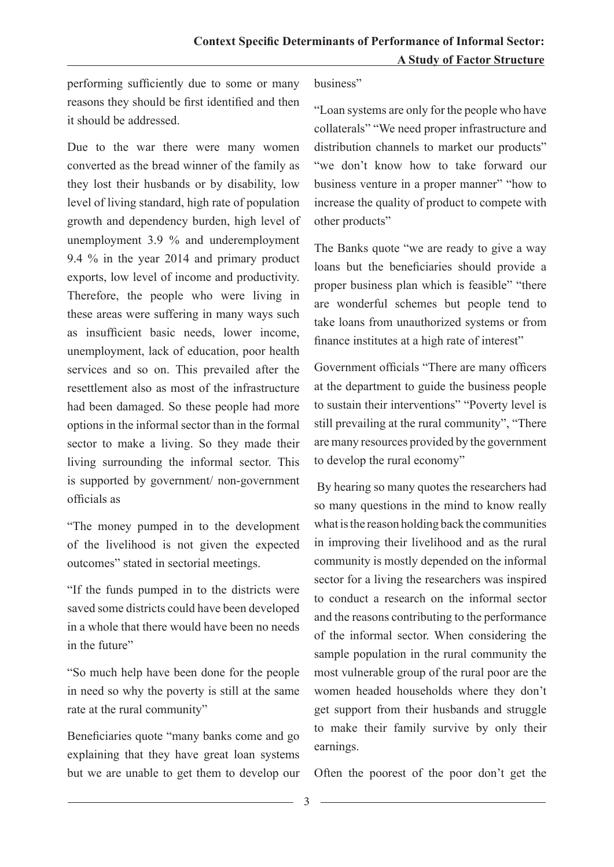performing sufficiently due to some or many reasons they should be first identified and then it should be addressed.

Due to the war there were many women converted as the bread winner of the family as they lost their husbands or by disability, low level of living standard, high rate of population growth and dependency burden, high level of unemployment 3.9 % and underemployment 9.4 % in the year 2014 and primary product exports, low level of income and productivity. Therefore, the people who were living in these areas were suffering in many ways such as insufficient basic needs, lower income, unemployment, lack of education, poor health services and so on. This prevailed after the resettlement also as most of the infrastructure had been damaged. So these people had more options in the informal sector than in the formal sector to make a living. So they made their living surrounding the informal sector. This is supported by government/ non-government officials as

"The money pumped in to the development of the livelihood is not given the expected outcomes" stated in sectorial meetings.

"If the funds pumped in to the districts were saved some districts could have been developed in a whole that there would have been no needs in the future"

"So much help have been done for the people in need so why the poverty is still at the same rate at the rural community"

Beneficiaries quote "many banks come and go explaining that they have great loan systems but we are unable to get them to develop our business"

"Loan systems are only for the people who have collaterals" "We need proper infrastructure and distribution channels to market our products" "we don't know how to take forward our business venture in a proper manner" "how to increase the quality of product to compete with other products"

The Banks quote "we are ready to give a way loans but the beneficiaries should provide a proper business plan which is feasible" "there are wonderful schemes but people tend to take loans from unauthorized systems or from finance institutes at a high rate of interest"

Government officials "There are many officers at the department to guide the business people to sustain their interventions" "Poverty level is still prevailing at the rural community", "There are many resources provided by the government to develop the rural economy"

 By hearing so many quotes the researchers had so many questions in the mind to know really what is the reason holding back the communities in improving their livelihood and as the rural community is mostly depended on the informal sector for a living the researchers was inspired to conduct a research on the informal sector and the reasons contributing to the performance of the informal sector. When considering the sample population in the rural community the most vulnerable group of the rural poor are the women headed households where they don't get support from their husbands and struggle to make their family survive by only their earnings.

Often the poorest of the poor don't get the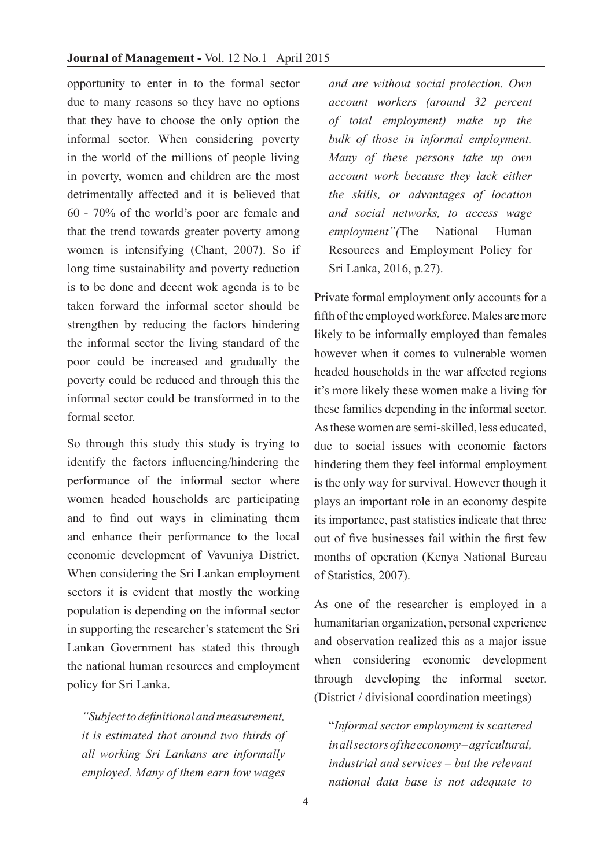opportunity to enter in to the formal sector due to many reasons so they have no options that they have to choose the only option the informal sector. When considering poverty in the world of the millions of people living in poverty, women and children are the most detrimentally affected and it is believed that 60 - 70% of the world's poor are female and that the trend towards greater poverty among women is intensifying (Chant, 2007). So if long time sustainability and poverty reduction is to be done and decent wok agenda is to be taken forward the informal sector should be strengthen by reducing the factors hindering the informal sector the living standard of the poor could be increased and gradually the poverty could be reduced and through this the informal sector could be transformed in to the formal sector.

So through this study this study is trying to identify the factors influencing/hindering the performance of the informal sector where women headed households are participating and to find out ways in eliminating them and enhance their performance to the local economic development of Vavuniya District. When considering the Sri Lankan employment sectors it is evident that mostly the working population is depending on the informal sector in supporting the researcher's statement the Sri Lankan Government has stated this through the national human resources and employment policy for Sri Lanka.

*"Subject to definitional and measurement, it is estimated that around two thirds of all working Sri Lankans are informally employed. Many of them earn low wages* 

*and are without social protection. Own account workers (around 32 percent of total employment) make up the bulk of those in informal employment. Many of these persons take up own account work because they lack either the skills, or advantages of location and social networks, to access wage employment"(*The National Human Resources and Employment Policy for Sri Lanka, 2016, p.27).

Private formal employment only accounts for a fifth of the employed workforce. Males are more likely to be informally employed than females however when it comes to vulnerable women headed households in the war affected regions it's more likely these women make a living for these families depending in the informal sector. As these women are semi-skilled, less educated, due to social issues with economic factors hindering them they feel informal employment is the only way for survival. However though it plays an important role in an economy despite its importance, past statistics indicate that three out of five businesses fail within the first few months of operation (Kenya National Bureau of Statistics, 2007).

As one of the researcher is employed in a humanitarian organization, personal experience and observation realized this as a major issue when considering economic development through developing the informal sector. (District / divisional coordination meetings)

"*Informal sector employment is scattered in all sectors of the economy – agricultural, industrial and services – but the relevant national data base is not adequate to*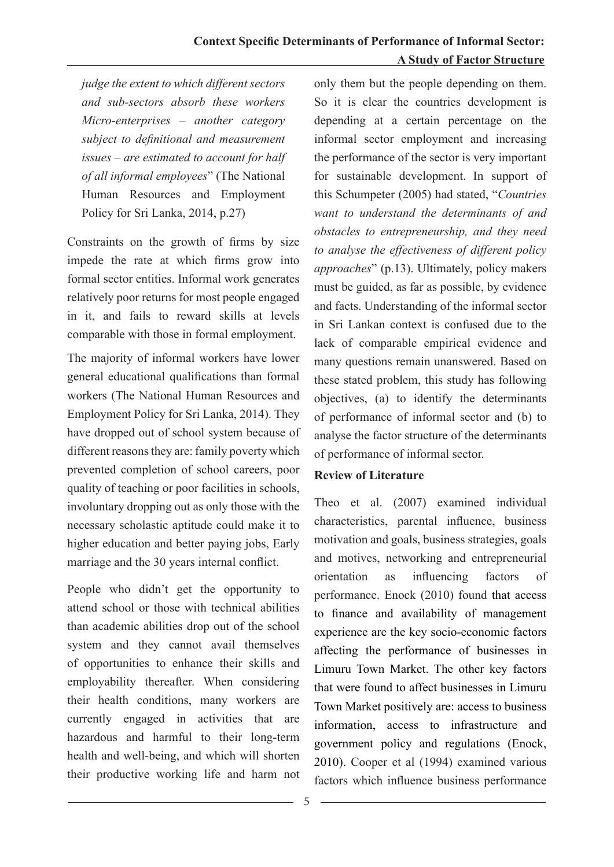*judge the extent to which different sectors and sub-sectors absorb these workers Micro-enterprises – another category subject to definitional and measurement issues – are estimated to account for half of all informal employees*" (The National Human Resources and Employment Policy for Sri Lanka, 2014, p.27)

Constraints on the growth of firms by size impede the rate at which firms grow into formal sector entities. Informal work generates relatively poor returns for most people engaged in it, and fails to reward skills at levels comparable with those in formal employment.

The majority of informal workers have lower general educational qualifications than formal workers (The National Human Resources and Employment Policy for Sri Lanka, 2014). They have dropped out of school system because of different reasons they are: family poverty which prevented completion of school careers, poor quality of teaching or poor facilities in schools, involuntary dropping out as only those with the necessary scholastic aptitude could make it to higher education and better paying jobs, Early marriage and the 30 years internal conflict.

People who didn't get the opportunity to attend school or those with technical abilities than academic abilities drop out of the school system and they cannot avail themselves of opportunities to enhance their skills and employability thereafter. When considering their health conditions, many workers are currently engaged in activities that are hazardous and harmful to their long-term health and well-being, and which will shorten their productive working life and harm not only them but the people depending on them. So it is clear the countries development is depending at a certain percentage on the informal sector employment and increasing the performance of the sector is very important for sustainable development. In support of this Schumpeter (2005) had stated, "*Countries want to understand the determinants of and obstacles to entrepreneurship, and they need to analyse the effectiveness of different policy approaches*" (p.13). Ultimately, policy makers must be guided, as far as possible, by evidence and facts. Understanding of the informal sector in Sri Lankan context is confused due to the lack of comparable empirical evidence and many questions remain unanswered. Based on these stated problem, this study has following objectives, (a) to identify the determinants of performance of informal sector and (b) to analyse the factor structure of the determinants of performance of informal sector.

## **Review of Literature**

Theo et al. (2007) examined individual characteristics, parental influence, business motivation and goals, business strategies, goals and motives, networking and entrepreneurial orientation as influencing factors of performance. Enock (2010) found that access to finance and availability of management experience are the key socio-economic factors affecting the performance of businesses in Limuru Town Market. The other key factors that were found to affect businesses in Limuru Town Market positively are: access to business information, access to infrastructure and government policy and regulations (Enock, 2010). Cooper et al (1994) examined various factors which influence business performance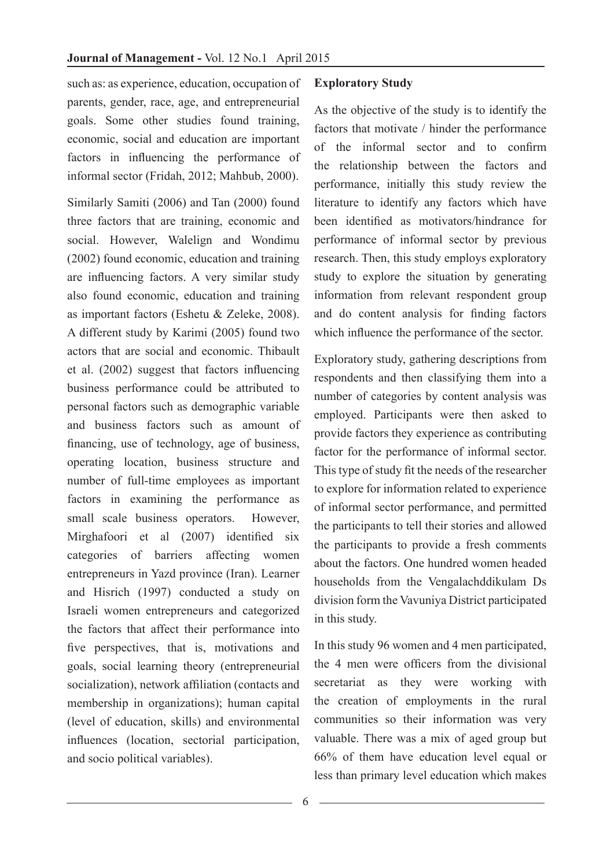such as: as experience, education, occupation of parents, gender, race, age, and entrepreneurial goals. Some other studies found training, economic, social and education are important factors in influencing the performance of informal sector (Fridah, 2012; Mahbub, 2000).

Similarly Samiti (2006) and Tan (2000) found three factors that are training, economic and social. However, Walelign and Wondimu (2002) found economic, education and training are influencing factors. A very similar study also found economic, education and training as important factors (Eshetu & Zeleke, 2008). A different study by Karimi (2005) found two actors that are social and economic. Thibault et al. (2002) suggest that factors influencing business performance could be attributed to personal factors such as demographic variable and business factors such as amount of financing, use of technology, age of business, operating location, business structure and number of full-time employees as important factors in examining the performance as small scale business operators. However, Mirghafoori et al (2007) identified six categories of barriers affecting women entrepreneurs in Yazd province (Iran). Learner and Hisrich (1997) conducted a study on Israeli women entrepreneurs and categorized the factors that affect their performance into five perspectives, that is, motivations and goals, social learning theory (entrepreneurial socialization), network affiliation (contacts and membership in organizations); human capital (level of education, skills) and environmental influences (location, sectorial participation, and socio political variables).

#### **Exploratory Study**

As the objective of the study is to identify the factors that motivate / hinder the performance of the informal sector and to confirm the relationship between the factors and performance, initially this study review the literature to identify any factors which have been identified as motivators/hindrance for performance of informal sector by previous research. Then, this study employs exploratory study to explore the situation by generating information from relevant respondent group and do content analysis for finding factors which influence the performance of the sector.

Exploratory study, gathering descriptions from respondents and then classifying them into a number of categories by content analysis was employed. Participants were then asked to provide factors they experience as contributing factor for the performance of informal sector. This type of study fit the needs of the researcher to explore for information related to experience of informal sector performance, and permitted the participants to tell their stories and allowed the participants to provide a fresh comments about the factors. One hundred women headed households from the Vengalachddikulam Ds division form the Vavuniya District participated in this study.

In this study 96 women and 4 men participated, the 4 men were officers from the divisional secretariat as they were working with the creation of employments in the rural communities so their information was very valuable. There was a mix of aged group but 66% of them have education level equal or less than primary level education which makes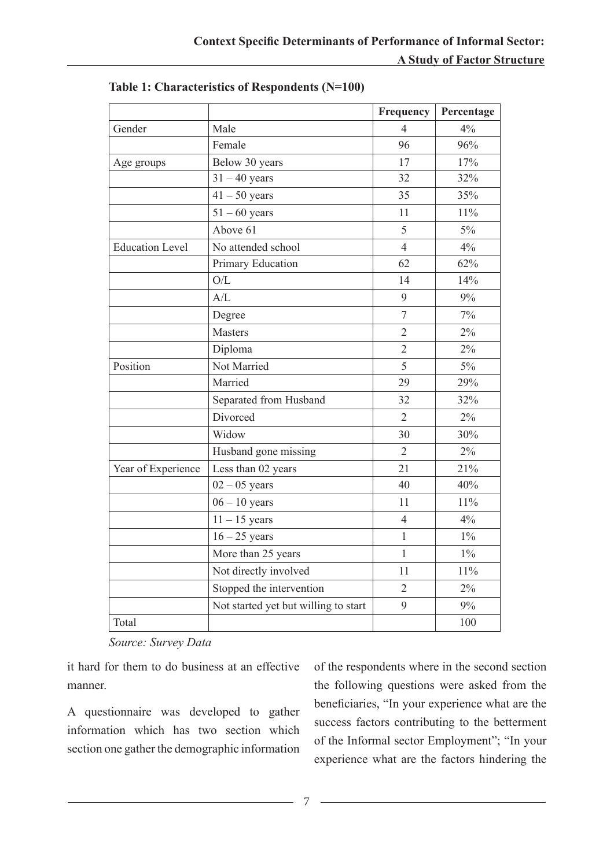|                        |                                      | Frequency      | Percentage |
|------------------------|--------------------------------------|----------------|------------|
| Gender                 | Male                                 | $\overline{4}$ | 4%         |
|                        | Female                               | 96             | 96%        |
| Age groups             | Below 30 years                       | 17             | 17%        |
|                        | $31 - 40$ years                      | 32             | 32%        |
|                        | $41 - 50$ years                      | 35             | 35%        |
|                        | $51 - 60$ years                      | 11             | 11%        |
|                        | Above 61                             | 5              | $5\%$      |
| <b>Education Level</b> | No attended school                   | $\overline{4}$ | 4%         |
|                        | Primary Education                    | 62             | 62%        |
|                        | O/L                                  | 14             | 14%        |
|                        | A/L                                  | 9              | 9%         |
|                        | Degree                               | $\overline{7}$ | 7%         |
|                        | <b>Masters</b>                       | $\overline{2}$ | $2\%$      |
|                        | Diploma                              | $\overline{2}$ | 2%         |
| Position               | Not Married                          | 5              | $5\%$      |
|                        | Married                              | 29             | 29%        |
|                        | Separated from Husband               | 32             | 32%        |
|                        | Divorced                             | $\overline{2}$ | $2\%$      |
|                        | Widow                                | 30             | 30%        |
|                        | Husband gone missing                 | $\overline{2}$ | $2\%$      |
| Year of Experience     | Less than 02 years                   | 21             | 21%        |
|                        | $02 - 05$ years                      | 40             | 40%        |
|                        | $06 - 10$ years                      | 11             | 11%        |
|                        | $11 - 15$ years                      | $\overline{4}$ | 4%         |
|                        | $16 - 25$ years                      | $\mathbf{1}$   | $1\%$      |
|                        | More than 25 years                   | 1              | $1\%$      |
|                        | Not directly involved                | 11             | 11%        |
|                        | Stopped the intervention             | $\overline{2}$ | $2\%$      |
|                        | Not started yet but willing to start | 9              | 9%         |
| Total                  |                                      |                | 100        |

**Table 1: Characteristics of Respondents (N=100)**

*Source: Survey Data*

it hard for them to do business at an effective manner.

A questionnaire was developed to gather information which has two section which section one gather the demographic information

of the respondents where in the second section the following questions were asked from the beneficiaries, "In your experience what are the success factors contributing to the betterment of the Informal sector Employment"; "In your experience what are the factors hindering the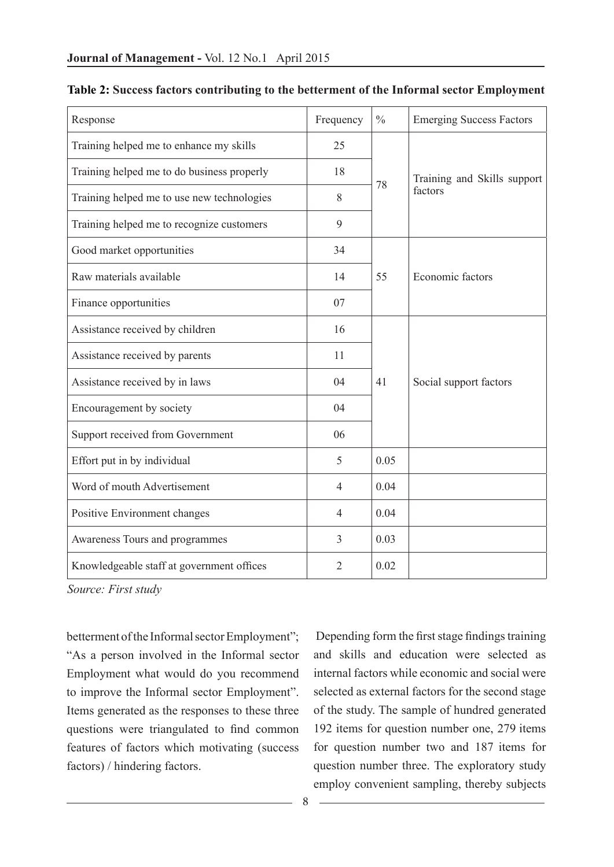| Response                                   | Frequency      | $\frac{0}{0}$ | <b>Emerging Success Factors</b>        |  |  |
|--------------------------------------------|----------------|---------------|----------------------------------------|--|--|
| Training helped me to enhance my skills    | 25             |               | Training and Skills support<br>factors |  |  |
| Training helped me to do business properly | 18             | 78            |                                        |  |  |
| Training helped me to use new technologies | 8              |               |                                        |  |  |
| Training helped me to recognize customers  | 9              |               |                                        |  |  |
| Good market opportunities                  | 34             |               |                                        |  |  |
| Raw materials available                    | 14             | 55            | Economic factors                       |  |  |
| Finance opportunities                      | 07             |               |                                        |  |  |
| Assistance received by children            | 16             |               |                                        |  |  |
| Assistance received by parents             | 11             |               | Social support factors                 |  |  |
| Assistance received by in laws             | 04             | 41            |                                        |  |  |
| Encouragement by society                   | 04             |               |                                        |  |  |
| Support received from Government           | 06             |               |                                        |  |  |
| Effort put in by individual                | 5              | 0.05          |                                        |  |  |
| Word of mouth Advertisement                | $\overline{4}$ | 0.04          |                                        |  |  |
| Positive Environment changes               | $\overline{4}$ | 0.04          |                                        |  |  |
| Awareness Tours and programmes             | 3              | 0.03          |                                        |  |  |
| Knowledgeable staff at government offices  | $\overline{2}$ | 0.02          |                                        |  |  |

#### **Table 2: Success factors contributing to the betterment of the Informal sector Employment**

*Source: First study* 

betterment of the Informal sector Employment"; "As a person involved in the Informal sector Employment what would do you recommend to improve the Informal sector Employment". Items generated as the responses to these three questions were triangulated to find common features of factors which motivating (success factors) / hindering factors.

Depending form the first stage findings training and skills and education were selected as internal factors while economic and social were selected as external factors for the second stage of the study. The sample of hundred generated 192 items for question number one, 279 items for question number two and 187 items for question number three. The exploratory study employ convenient sampling, thereby subjects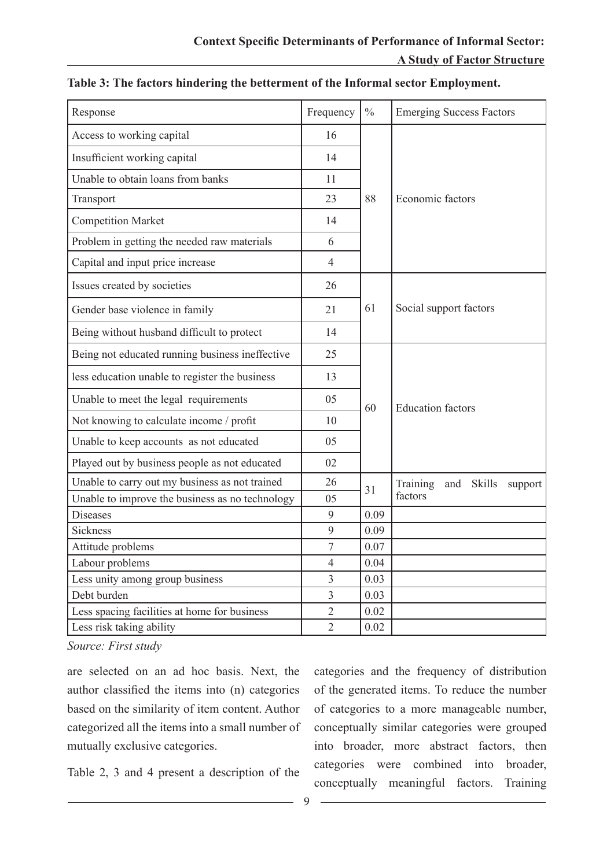| Response                                        | Frequency      | $\frac{0}{0}$ | <b>Emerging Success Factors</b>             |  |  |  |  |
|-------------------------------------------------|----------------|---------------|---------------------------------------------|--|--|--|--|
| Access to working capital                       | 16             |               |                                             |  |  |  |  |
| Insufficient working capital                    | 14             |               | Economic factors                            |  |  |  |  |
| Unable to obtain loans from banks               | 11             |               |                                             |  |  |  |  |
| Transport                                       | 23             | 88            |                                             |  |  |  |  |
| <b>Competition Market</b>                       | 14             |               |                                             |  |  |  |  |
| Problem in getting the needed raw materials     | 6              |               |                                             |  |  |  |  |
| Capital and input price increase                | $\overline{4}$ |               |                                             |  |  |  |  |
| Issues created by societies                     | 26             |               |                                             |  |  |  |  |
| Gender base violence in family                  | 21             | 61            | Social support factors                      |  |  |  |  |
| Being without husband difficult to protect      | 14             |               |                                             |  |  |  |  |
| Being not educated running business ineffective | 25             |               |                                             |  |  |  |  |
| less education unable to register the business  | 13             |               |                                             |  |  |  |  |
| Unable to meet the legal requirements           | 05             | 60            | <b>Education</b> factors                    |  |  |  |  |
| Not knowing to calculate income / profit        | 10             |               |                                             |  |  |  |  |
| Unable to keep accounts as not educated         | 05             |               |                                             |  |  |  |  |
| Played out by business people as not educated   | 02             |               |                                             |  |  |  |  |
| Unable to carry out my business as not trained  | 26             | 31            | Training<br><b>Skills</b><br>and<br>support |  |  |  |  |
| Unable to improve the business as no technology | 05             |               | factors                                     |  |  |  |  |
| <b>Diseases</b>                                 | 9              | 0.09          |                                             |  |  |  |  |
| <b>Sickness</b>                                 | 9              | 0.09          |                                             |  |  |  |  |
| Attitude problems                               | $\sqrt{ }$     | 0.07          |                                             |  |  |  |  |
| Labour problems                                 | $\overline{4}$ | 0.04          |                                             |  |  |  |  |
| Less unity among group business                 | $\overline{3}$ | 0.03          |                                             |  |  |  |  |
| Debt burden                                     | $\overline{3}$ | 0.03          |                                             |  |  |  |  |
| Less spacing facilities at home for business    | $\overline{2}$ | 0.02          |                                             |  |  |  |  |
| Less risk taking ability                        | $\overline{2}$ | 0.02          |                                             |  |  |  |  |

#### **Table 3: The factors hindering the betterment of the Informal sector Employment.**

*Source: First study* 

are selected on an ad hoc basis. Next, the author classified the items into (n) categories based on the similarity of item content. Author categorized all the items into a small number of mutually exclusive categories.

Table 2, 3 and 4 present a description of the

categories and the frequency of distribution of the generated items. To reduce the number of categories to a more manageable number, conceptually similar categories were grouped into broader, more abstract factors, then categories were combined into broader, conceptually meaningful factors. Training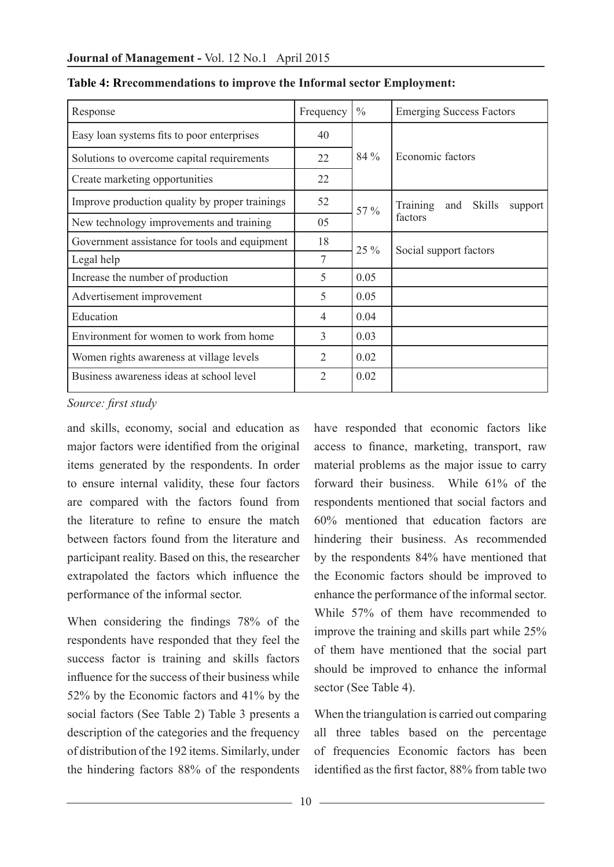| Response                                       | Frequency      | $\frac{0}{0}$ | <b>Emerging Success Factors</b>                    |  |  |  |  |
|------------------------------------------------|----------------|---------------|----------------------------------------------------|--|--|--|--|
| Easy loan systems fits to poor enterprises     | 40             |               | Economic factors                                   |  |  |  |  |
| Solutions to overcome capital requirements     | 22             | 84 %          |                                                    |  |  |  |  |
| Create marketing opportunities                 | 22             |               |                                                    |  |  |  |  |
| Improve production quality by proper trainings | 52             | 57 %          | <b>Training</b><br><b>Skills</b><br>and<br>support |  |  |  |  |
| New technology improvements and training       | 05             |               | factors                                            |  |  |  |  |
| Government assistance for tools and equipment  | 18             | 25 %          |                                                    |  |  |  |  |
| Legal help                                     | 7              |               | Social support factors                             |  |  |  |  |
| Increase the number of production              | 5              | 0.05          |                                                    |  |  |  |  |
| Advertisement improvement                      | 5              | 0.05          |                                                    |  |  |  |  |
| Education                                      | 4              | 0.04          |                                                    |  |  |  |  |
| Environment for women to work from home        | $\overline{3}$ | 0.03          |                                                    |  |  |  |  |
| Women rights awareness at village levels       | $\overline{2}$ | 0.02          |                                                    |  |  |  |  |
| Business awareness ideas at school level       | $\overline{2}$ | 0.02          |                                                    |  |  |  |  |

|  |  |  | Table 4: Rrecommendations to improve the Informal sector Employment: |
|--|--|--|----------------------------------------------------------------------|
|  |  |  |                                                                      |

#### *Source: first study*

and skills, economy, social and education as major factors were identified from the original items generated by the respondents. In order to ensure internal validity, these four factors are compared with the factors found from the literature to refine to ensure the match between factors found from the literature and participant reality. Based on this, the researcher extrapolated the factors which influence the performance of the informal sector.

When considering the findings 78% of the respondents have responded that they feel the success factor is training and skills factors influence for the success of their business while 52% by the Economic factors and 41% by the social factors (See Table 2) Table 3 presents a description of the categories and the frequency of distribution of the 192 items. Similarly, under the hindering factors 88% of the respondents

have responded that economic factors like access to finance, marketing, transport, raw material problems as the major issue to carry forward their business. While 61% of the respondents mentioned that social factors and 60% mentioned that education factors are hindering their business. As recommended by the respondents 84% have mentioned that the Economic factors should be improved to enhance the performance of the informal sector. While 57% of them have recommended to improve the training and skills part while 25% of them have mentioned that the social part should be improved to enhance the informal sector (See Table 4).

When the triangulation is carried out comparing all three tables based on the percentage of frequencies Economic factors has been identified as the first factor, 88% from table two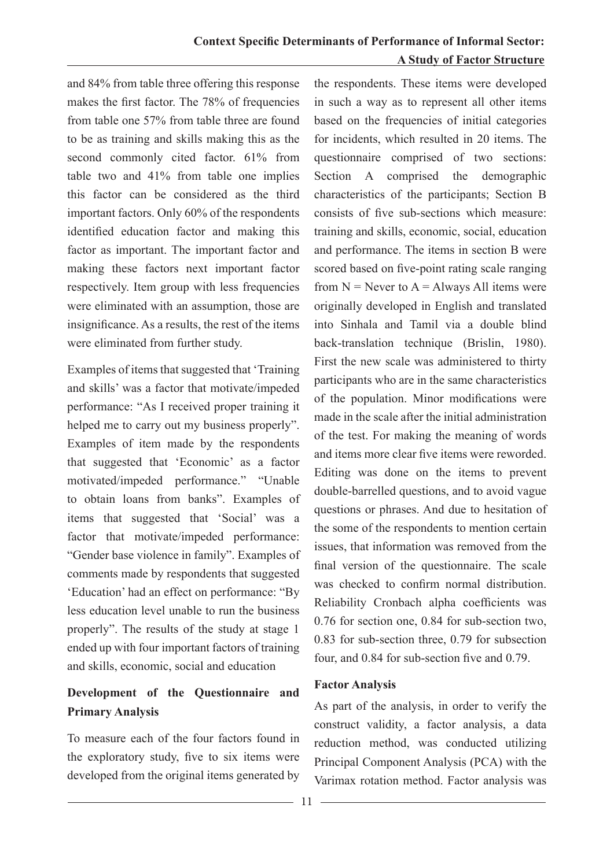and 84% from table three offering this response makes the first factor. The 78% of frequencies from table one 57% from table three are found to be as training and skills making this as the second commonly cited factor. 61% from table two and 41% from table one implies this factor can be considered as the third important factors. Only 60% of the respondents identified education factor and making this factor as important. The important factor and making these factors next important factor respectively. Item group with less frequencies were eliminated with an assumption, those are insignificance. As a results, the rest of the items were eliminated from further study.

Examples of items that suggested that 'Training and skills' was a factor that motivate/impeded performance: "As I received proper training it helped me to carry out my business properly". Examples of item made by the respondents that suggested that 'Economic' as a factor motivated/impeded performance." "Unable to obtain loans from banks". Examples of items that suggested that 'Social' was a factor that motivate/impeded performance: "Gender base violence in family". Examples of comments made by respondents that suggested 'Education' had an effect on performance: "By less education level unable to run the business properly". The results of the study at stage 1 ended up with four important factors of training and skills, economic, social and education

## **Development of the Questionnaire and Primary Analysis**

To measure each of the four factors found in the exploratory study, five to six items were developed from the original items generated by

the respondents. These items were developed in such a way as to represent all other items based on the frequencies of initial categories for incidents, which resulted in 20 items. The questionnaire comprised of two sections: Section A comprised the demographic characteristics of the participants; Section B consists of five sub-sections which measure: training and skills, economic, social, education and performance. The items in section B were scored based on five-point rating scale ranging from  $N =$  Never to  $A =$  Always All items were originally developed in English and translated into Sinhala and Tamil via a double blind back-translation technique (Brislin, 1980). First the new scale was administered to thirty participants who are in the same characteristics of the population. Minor modifications were made in the scale after the initial administration of the test. For making the meaning of words and items more clear five items were reworded. Editing was done on the items to prevent double-barrelled questions, and to avoid vague questions or phrases. And due to hesitation of the some of the respondents to mention certain issues, that information was removed from the final version of the questionnaire. The scale was checked to confirm normal distribution. Reliability Cronbach alpha coefficients was 0.76 for section one, 0.84 for sub-section two, 0.83 for sub-section three, 0.79 for subsection four, and 0.84 for sub-section five and 0.79.

#### **Factor Analysis**

As part of the analysis, in order to verify the construct validity, a factor analysis, a data reduction method, was conducted utilizing Principal Component Analysis (PCA) with the Varimax rotation method. Factor analysis was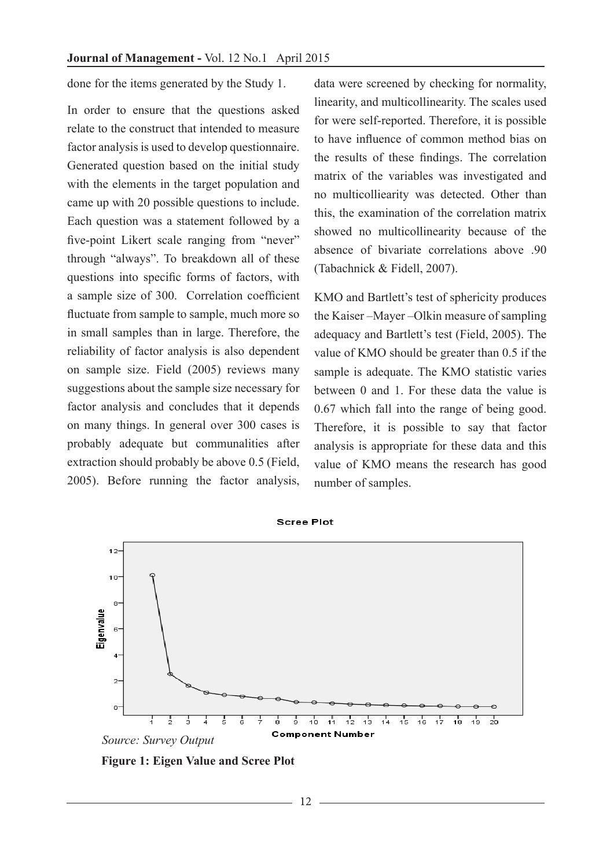done for the items generated by the Study 1.

In order to ensure that the questions asked relate to the construct that intended to measure factor analysis is used to develop questionnaire. Generated question based on the initial study with the elements in the target population and came up with 20 possible questions to include. Each question was a statement followed by a five-point Likert scale ranging from "never" through "always". To breakdown all of these questions into specific forms of factors, with a sample size of 300. Correlation coefficient fluctuate from sample to sample, much more so in small samples than in large. Therefore, the reliability of factor analysis is also dependent on sample size. Field (2005) reviews many suggestions about the sample size necessary for factor analysis and concludes that it depends on many things. In general over 300 cases is probably adequate but communalities after extraction should probably be above 0.5 (Field, 2005). Before running the factor analysis,

data were screened by checking for normality, linearity, and multicollinearity. The scales used for were self-reported. Therefore, it is possible to have influence of common method bias on the results of these findings. The correlation matrix of the variables was investigated and no multicolliearity was detected. Other than this, the examination of the correlation matrix showed no multicollinearity because of the absence of bivariate correlations above .90 (Tabachnick & Fidell, 2007).

KMO and Bartlett's test of sphericity produces the Kaiser –Mayer –Olkin measure of sampling adequacy and Bartlett's test (Field, 2005). The value of KMO should be greater than 0.5 if the sample is adequate. The KMO statistic varies between 0 and 1. For these data the value is 0.67 which fall into the range of being good. Therefore, it is possible to say that factor analysis is appropriate for these data and this value of KMO means the research has good number of samples.



**Figure 1: Eigen Value and Scree Plot**

12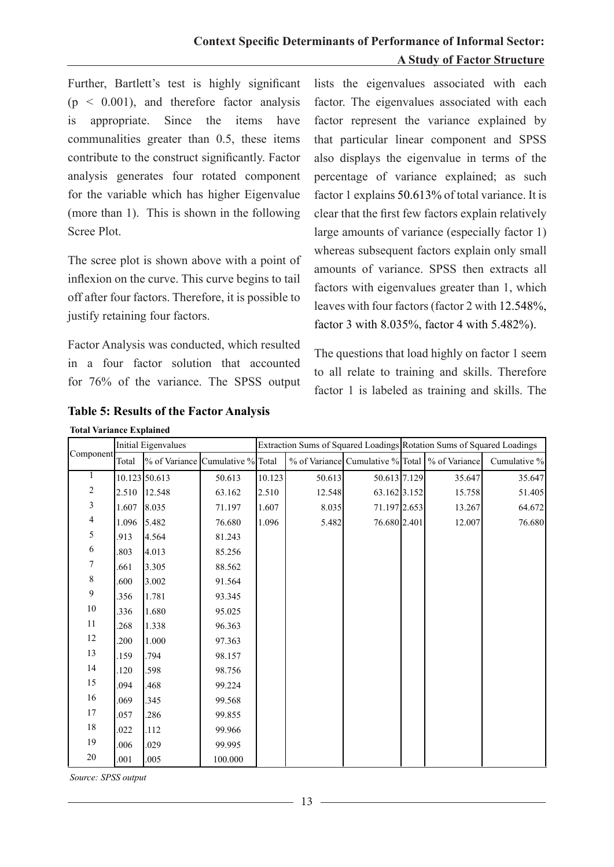Further, Bartlett's test is highly significant  $(p < 0.001)$ , and therefore factor analysis is appropriate. Since the items have communalities greater than 0.5, these items contribute to the construct significantly. Factor analysis generates four rotated component for the variable which has higher Eigenvalue (more than 1). This is shown in the following Scree Plot.

The scree plot is shown above with a point of inflexion on the curve. This curve begins to tail off after four factors. Therefore, it is possible to justify retaining four factors.

Factor Analysis was conducted, which resulted in a four factor solution that accounted for 76% of the variance. The SPSS output

lists the eigenvalues associated with each factor. The eigenvalues associated with each factor represent the variance explained by that particular linear component and SPSS also displays the eigenvalue in terms of the percentage of variance explained; as such factor 1 explains 50.613% of total variance. It is clear that the first few factors explain relatively large amounts of variance (especially factor 1) whereas subsequent factors explain only small amounts of variance. SPSS then extracts all factors with eigenvalues greater than 1, which leaves with four factors (factor 2 with 12.548%, factor 3 with 8.035%, factor 4 with 5.482%).

The questions that load highly on factor 1 seem to all relate to training and skills. Therefore factor 1 is labeled as training and skills. The

| <b>Total Variance Explained</b> |                     |                                  |         |                                                                       |        |              |  |                                                  |              |  |
|---------------------------------|---------------------|----------------------------------|---------|-----------------------------------------------------------------------|--------|--------------|--|--------------------------------------------------|--------------|--|
|                                 | Initial Eigenvalues |                                  |         | Extraction Sums of Squared Loadings Rotation Sums of Squared Loadings |        |              |  |                                                  |              |  |
| Component                       | Total               | % of Variance Cumulative % Total |         |                                                                       |        |              |  | % of Variance Cumulative % Total   % of Variance | Cumulative % |  |
| 1                               |                     | 10.123 50.613                    | 50.613  | 10.123                                                                | 50.613 | 50.613 7.129 |  | 35.647                                           | 35.647       |  |
| $\overline{c}$                  | 2.510               | 12.548                           | 63.162  | 2.510                                                                 | 12.548 | 63.162 3.152 |  | 15.758                                           | 51.405       |  |
| 3                               | 1.607               | 8.035                            | 71.197  | 1.607                                                                 | 8.035  | 71.197 2.653 |  | 13.267                                           | 64.672       |  |
| $\overline{4}$                  | 1.096               | 5.482                            | 76.680  | 1.096                                                                 | 5.482  | 76.680 2.401 |  | 12.007                                           | 76.680       |  |
| 5                               | .913                | 4.564                            | 81.243  |                                                                       |        |              |  |                                                  |              |  |
| 6                               | .803                | 4.013                            | 85.256  |                                                                       |        |              |  |                                                  |              |  |
| 7                               | .661                | 3.305                            | 88.562  |                                                                       |        |              |  |                                                  |              |  |
| 8                               | .600                | 3.002                            | 91.564  |                                                                       |        |              |  |                                                  |              |  |
| 9                               | .356                | 1.781                            | 93.345  |                                                                       |        |              |  |                                                  |              |  |
| $10\,$                          | .336                | 1.680                            | 95.025  |                                                                       |        |              |  |                                                  |              |  |
| 11                              | .268                | 1.338                            | 96.363  |                                                                       |        |              |  |                                                  |              |  |
| 12                              | .200                | 1.000                            | 97.363  |                                                                       |        |              |  |                                                  |              |  |
| 13                              | .159                | .794                             | 98.157  |                                                                       |        |              |  |                                                  |              |  |
| 14                              | .120                | .598                             | 98.756  |                                                                       |        |              |  |                                                  |              |  |
| 15                              | .094                | 468                              | 99.224  |                                                                       |        |              |  |                                                  |              |  |
| 16                              | .069                | .345                             | 99.568  |                                                                       |        |              |  |                                                  |              |  |
| 17                              | .057                | .286                             | 99.855  |                                                                       |        |              |  |                                                  |              |  |
| 18                              | .022                | .112                             | 99.966  |                                                                       |        |              |  |                                                  |              |  |
| 19                              | .006                | .029                             | 99.995  |                                                                       |        |              |  |                                                  |              |  |
| 20                              | .001                | .005                             | 100.000 |                                                                       |        |              |  |                                                  |              |  |

*Source: SPSS output*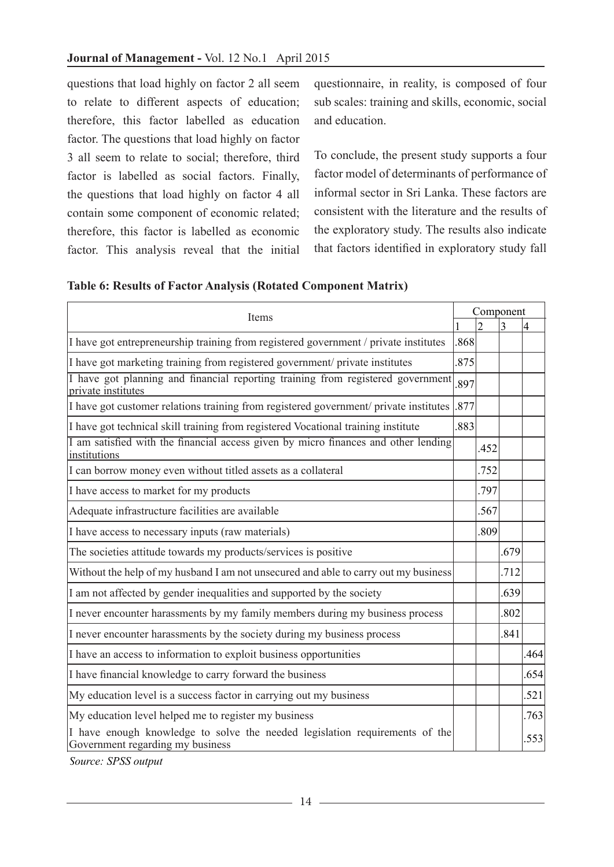questions that load highly on factor 2 all seem to relate to different aspects of education; therefore, this factor labelled as education factor. The questions that load highly on factor 3 all seem to relate to social; therefore, third factor is labelled as social factors. Finally, the questions that load highly on factor 4 all contain some component of economic related; therefore, this factor is labelled as economic factor. This analysis reveal that the initial

questionnaire, in reality, is composed of four sub scales: training and skills, economic, social and education.

To conclude, the present study supports a four factor model of determinants of performance of informal sector in Sri Lanka. These factors are consistent with the literature and the results of the exploratory study. The results also indicate that factors identified in exploratory study fall

|                                                                                                                 | Component |                |                |      |
|-----------------------------------------------------------------------------------------------------------------|-----------|----------------|----------------|------|
| Items                                                                                                           |           | $\overline{2}$ | $\overline{3}$ | 4    |
| I have got entrepreneurship training from registered government / private institutes                            | .868      |                |                |      |
| I have got marketing training from registered government/ private institutes                                    | .875      |                |                |      |
| I have got planning and financial reporting training from registered government<br>private institutes           | .897      |                |                |      |
| I have got customer relations training from registered government/ private institutes                           | .877      |                |                |      |
| I have got technical skill training from registered Vocational training institute                               | .883      |                |                |      |
| I am satisfied with the financial access given by micro finances and other lending<br>institutions              |           | .452           |                |      |
| I can borrow money even without titled assets as a collateral                                                   |           | .752           |                |      |
| I have access to market for my products                                                                         |           | .797           |                |      |
| Adequate infrastructure facilities are available                                                                |           | .567           |                |      |
| I have access to necessary inputs (raw materials)                                                               |           | .809           |                |      |
| The societies attitude towards my products/services is positive                                                 |           |                | .679           |      |
| Without the help of my husband I am not unsecured and able to carry out my business                             |           |                | .712           |      |
| I am not affected by gender inequalities and supported by the society                                           |           |                | .639           |      |
| I never encounter harassments by my family members during my business process                                   |           |                | .802           |      |
| I never encounter harassments by the society during my business process                                         |           |                | .841           |      |
| I have an access to information to exploit business opportunities                                               |           |                |                | .464 |
| I have financial knowledge to carry forward the business                                                        |           |                |                | .654 |
| My education level is a success factor in carrying out my business                                              |           |                |                | .521 |
| My education level helped me to register my business                                                            |           |                |                | .763 |
| I have enough knowledge to solve the needed legislation requirements of the<br>Government regarding my business |           |                |                | 553  |

*Source: SPSS output*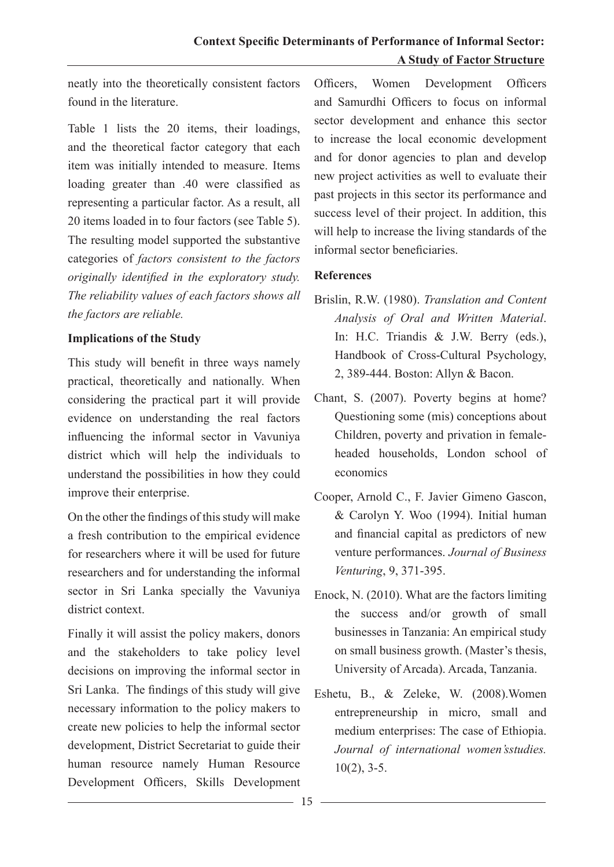neatly into the theoretically consistent factors found in the literature.

Table 1 lists the 20 items, their loadings, and the theoretical factor category that each item was initially intended to measure. Items loading greater than .40 were classified as representing a particular factor. As a result, all 20 items loaded in to four factors (see Table 5). The resulting model supported the substantive categories of *factors consistent to the factors originally identified in the exploratory study. The reliability values of each factors shows all the factors are reliable.* 

## **Implications of the Study**

This study will benefit in three ways namely practical, theoretically and nationally. When considering the practical part it will provide evidence on understanding the real factors influencing the informal sector in Vavuniya district which will help the individuals to understand the possibilities in how they could improve their enterprise.

On the other the findings of this study will make a fresh contribution to the empirical evidence for researchers where it will be used for future researchers and for understanding the informal sector in Sri Lanka specially the Vavuniya district context.

Finally it will assist the policy makers, donors and the stakeholders to take policy level decisions on improving the informal sector in Sri Lanka. The findings of this study will give necessary information to the policy makers to create new policies to help the informal sector development, District Secretariat to guide their human resource namely Human Resource Development Officers, Skills Development

Officers, Women Development Officers and Samurdhi Officers to focus on informal sector development and enhance this sector to increase the local economic development and for donor agencies to plan and develop new project activities as well to evaluate their past projects in this sector its performance and success level of their project. In addition, this will help to increase the living standards of the informal sector beneficiaries.

## **References**

- Brislin, R.W. (1980). *Translation and Content Analysis of Oral and Written Material*. In: H.C. Triandis & J.W. Berry (eds.), Handbook of Cross-Cultural Psychology, 2, 389-444. Boston: Allyn & Bacon.
- Chant, S. (2007). Poverty begins at home? Questioning some (mis) conceptions about Children, poverty and privation in femaleheaded households, London school of economics
- Cooper, Arnold C., F. Javier Gimeno Gascon, & Carolyn Y. Woo (1994). Initial human and financial capital as predictors of new venture performances. *Journal of Business Venturing*, 9, 371-395.
- Enock, N. (2010). What are the factors limiting the success and/or growth of small businesses in Tanzania: An empirical study on small business growth. (Master's thesis, University of Arcada). Arcada, Tanzania.
- Eshetu, B., & Zeleke, W. (2008).Women entrepreneurship in micro, small and medium enterprises: The case of Ethiopia. *Journal of international women'sstudies.*  $10(2)$ , 3-5.